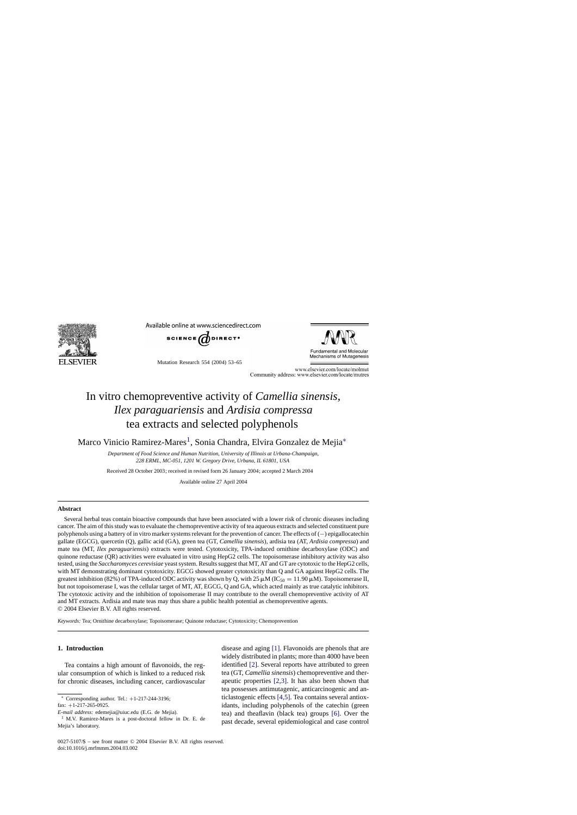

Available online at www.sciencedirect.com



Mutation Research 554 (2004) 53–65



www.elsevier.com/locate/molmut Community address: www.elsevier.com/locate/mutres

# In vitro chemopreventive activity of *Camellia sinensis*, *Ilex paraguariensis* and *Ardisia compressa* tea extracts and selected polyphenols

Marco Vinicio Ramirez-Mares<sup>1</sup>, Sonia Chandra, Elvira Gonzalez de Mejia<sup>\*</sup>

*Department of Food Science and Human Nutrition, University of Illinois at Urbana-Champaign, 228 ERML, MC-051, 1201 W. Gregory Drive, Urbana, IL 61801, USA*

Received 28 October 2003; received in revised form 26 January 2004; accepted 2 March 2004

Available online 27 April 2004

## **Abstract**

Several herbal teas contain bioactive compounds that have been associated with a lower risk of chronic diseases including cancer. The aim of this study was to evaluate the chemopreventive activity of tea aqueous extracts and selected constituent pure polyphenols using a battery of in vitro marker systems relevant for the prevention of cancer. The effects of (−) epigallocatechin gallate (EGCG), quercetin (Q), gallic acid (GA), green tea (GT, *Camellia sinensis*), ardisia tea (AT, *Ardisia compressa*) and mate tea (MT, *Ilex paraguariensis*) extracts were tested. Cytotoxicity, TPA-induced ornithine decarboxylase (ODC) and quinone reductase (QR) activities were evaluated in vitro using HepG2 cells. The topoisomerase inhibitory activity was also tested, using the *Saccharomyces cerevisiae* yeast system. Results suggest that MT, AT and GT are cytotoxic to the HepG2 cells, with MT demonstrating dominant cytotoxicity. EGCG showed greater cytotoxicity than Q and GA against HepG2 cells. The greatest inhibition (82%) of TPA-induced ODC activity was shown by Q, with 25  $\mu$ M (IC<sub>50</sub> = 11.90  $\mu$ M). Topoisomerase II, but not topoisomerase I, was the cellular target of MT, AT, EGCG, Q and GA, which acted mainly as true catalytic inhibitors. The cytotoxic activity and the inhibition of topoisomerase II may contribute to the overall chemopreventive activity of AT and MT extracts. Ardisia and mate teas may thus share a public health potential as chemopreventive agents. © 2004 Elsevier B.V. All rights reserved.

*Keywords:* Tea; Ornithine decarboxylase; Topoisomerase; Quinone reductase; Cytotoxicity; Chemoprevention

# **1. Introduction**

Tea contains a high amount of flavonoids, the regular consumption of which is linked to a reduced risk for chronic diseases, including cancer, cardiovascular

Corresponding author. Tel.:  $+1-217-244-3196$ ;

fax: +1-217-265-0925.

disease and aging [\[1\].](#page-10-0) Flavonoids are phenols that are widely distributed in plants; more than 4000 have been identified [\[2\]. S](#page-10-0)everal reports have attributed to green tea (GT, *Camellia sinensis*) chemopreventive and therapeutic properties [\[2,3\].](#page-10-0) It has also been shown that tea possesses antimutagenic, anticarcinogenic and anticlastogenic effects [\[4,5\]. T](#page-11-0)ea contains several antioxidants, including polyphenols of the catechin (green tea) and theaflavin (black tea) groups [\[6\].](#page-11-0) Over the past decade, several epidemiological and case control

*E-mail address:* edemejia@uiuc.edu (E.G. de Mejia).

<sup>1</sup> M.V. Ramirez-Mares is a post-doctoral fellow in Dr. E. de Mejia's laboratory.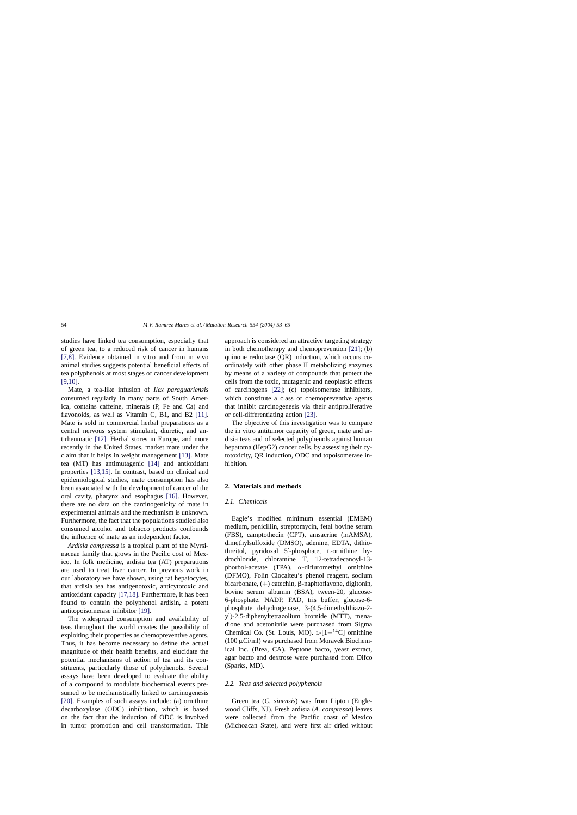studies have linked tea consumption, especially that of green tea, to a reduced risk of cancer in humans [\[7,8\].](#page-11-0) Evidence obtained in vitro and from in vivo animal studies suggests potential beneficial effects of tea polyphenols at most stages of cancer development [\[9,10\].](#page-11-0)

Mate, a tea-like infusion of *Ilex paraguariensis* consumed regularly in many parts of South America, contains caffeine, minerals (P, Fe and Ca) and flavonoids, as well as Vitamin C, B1, and B2 [\[11\].](#page-11-0) Mate is sold in commercial herbal preparations as a central nervous system stimulant, diuretic, and antirheumatic [\[12\].](#page-11-0) Herbal stores in Europe, and more recently in the United States, market mate under the claim that it helps in weight management [\[13\].](#page-11-0) Mate tea (MT) has antimutagenic [\[14\]](#page-11-0) and antioxidant properties [\[13,15\].](#page-11-0) In contrast, based on clinical and epidemiological studies, mate consumption has also been associated with the development of cancer of the oral cavity, pharynx and esophagus [\[16\].](#page-11-0) However, there are no data on the carcinogenicity of mate in experimental animals and the mechanism is unknown. Furthermore, the fact that the populations studied also consumed alcohol and tobacco products confounds the influence of mate as an independent factor.

*Ardisia compressa* is a tropical plant of the Myrsinaceae family that grows in the Pacific cost of Mexico. In folk medicine, ardisia tea (AT) preparations are used to treat liver cancer. In previous work in our laboratory we have shown, using rat hepatocytes, that ardisia tea has antigenotoxic, anticytotoxic and antioxidant capacity [\[17,18\]. F](#page-11-0)urthermore, it has been found to contain the polyphenol ardisin, a potent antitopoisomerase inhibitor [\[19\].](#page-11-0)

The widespread consumption and availability of teas throughout the world creates the possibility of exploiting their properties as chemopreventive agents. Thus, it has become necessary to define the actual magnitude of their health benefits, and elucidate the potential mechanisms of action of tea and its constituents, particularly those of polyphenols. Several assays have been developed to evaluate the ability of a compound to modulate biochemical events presumed to be mechanistically linked to carcinogenesis [\[20\].](#page-11-0) Examples of such assays include: (a) ornithine decarboxylase (ODC) inhibition, which is based on the fact that the induction of ODC is involved in tumor promotion and cell transformation. This

approach is considered an attractive targeting strategy in both chemotherapy and chemoprevention [\[21\];](#page-11-0) (b) quinone reductase (QR) induction, which occurs coordinately with other phase II metabolizing enzymes by means of a variety of compounds that protect the cells from the toxic, mutagenic and neoplastic effects of carcinogens [\[22\];](#page-11-0) (c) topoisomerase inhibitors, which constitute a class of chemopreventive agents that inhibit carcinogenesis via their antiproliferative or cell-differentiating action [\[23\].](#page-11-0)

The objective of this investigation was to compare the in vitro antitumor capacity of green, mate and ardisia teas and of selected polyphenols against human hepatoma (HepG2) cancer cells, by assessing their cytotoxicity, QR induction, ODC and topoisomerase inhibition.

# **2. Materials and methods**

# *2.1. Chemicals*

Eagle's modified minimum essential (EMEM) medium, penicillin, streptomycin, fetal bovine serum (FBS), camptothecin (CPT), amsacrine (mAMSA), dimethylsulfoxide (DMSO), adenine, EDTA, dithiothreitol, pyridoxal 5'-phosphate, L-ornithine hydrochloride, chloramine T, 12-tetradecanoyl-13  $phorbol-acetate$  (TPA),  $\alpha$ -difluromethyl ornithine (DFMO), Folin Ciocalteu's phenol reagent, sodium bicarbonate,  $(+)$  catechin,  $\beta$ -naphtoflavone, digitonin, bovine serum albumin (BSA), tween-20, glucose-6-phosphate, NADP, FAD, tris buffer, glucose-6 phosphate dehydrogenase, 3-(4,5-dimethylthiazo-2 yl)-2,5-diphenyltetrazolium bromide (MTT), menadione and acetonitrile were purchased from Sigma Chemical Co. (St. Louis, MO).  $L-[1-^{14}C]$  ornithine  $(100 \,\mu\text{Ci/ml})$  was purchased from Moravek Biochemical Inc. (Brea, CA). Peptone bacto, yeast extract, agar bacto and dextrose were purchased from Difco (Sparks, MD).

## *2.2. Teas and selected polyphenols*

Green tea (*C. sinensis*) was from Lipton (Englewood Cliffs, NJ). Fresh ardisia (*A. compressa*) leaves were collected from the Pacific coast of Mexico (Michoacan State), and were first air dried without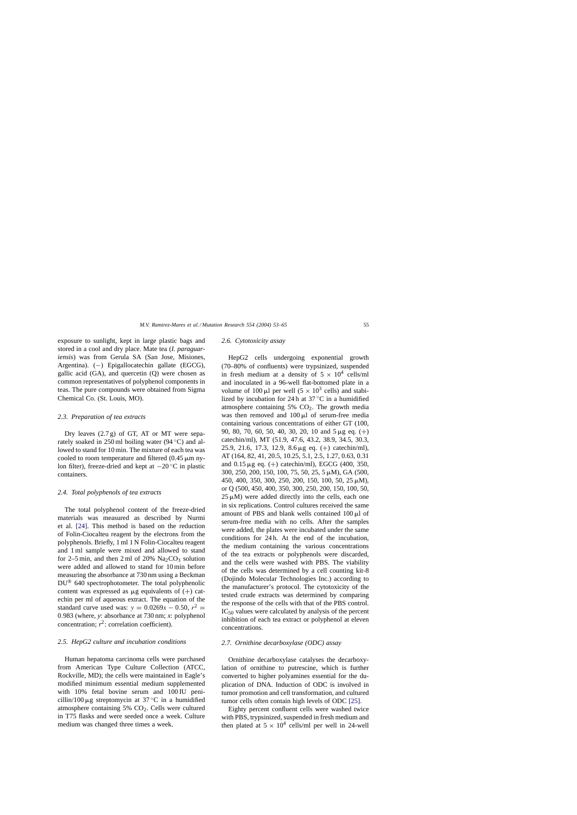exposure to sunlight, kept in large plastic bags and stored in a cool and dry place. Mate tea (*I. paraguariensis*) was from Gerula SA (San Jose, Misiones, Argentina). (−) Epigallocatechin gallate (EGCG), gallic acid (GA), and quercetin (Q) were chosen as common representatives of polyphenol components in teas. The pure compounds were obtained from Sigma Chemical Co. (St. Louis, MO).

## *2.3. Preparation of tea extracts*

Dry leaves  $(2.7 g)$  of GT, AT or MT were separately soaked in 250 ml boiling water (94  $\degree$ C) and allowed to stand for 10 min. The mixture of each tea was cooled to room temperature and filtered  $(0.45 \,\mathrm{\upmu m})$  nylon filter), freeze-dried and kept at −20 ◦C in plastic containers.

# *2.4. Total polyphenols of tea extracts*

The total polyphenol content of the freeze-dried materials was measured as described by Nurmi et al. [\[24\].](#page-11-0) This method is based on the reduction of Folin-Ciocalteu reagent by the electrons from the polyphenols. Briefly, 1 ml 1 N Folin-Ciocalteu reagent and 1 ml sample were mixed and allowed to stand for 2–5 min, and then 2 ml of 20%  $\text{Na}_2\text{CO}_3$  solution were added and allowed to stand for 10 min before measuring the absorbance at 730 nm using a Beckman DU® 640 spectrophotometer. The total polyphenolic content was expressed as  $\mu$ g equivalents of  $(+)$  catechin per ml of aqueous extract. The equation of the standard curve used was:  $y = 0.0269x - 0.50$ ,  $r^2 =$ 0.983 (where, *y*: absorbance at 730 nm; *x*: polyphenol concentration;  $r^2$ : correlation coefficient).

#### *2.5. HepG2 culture and incubation conditions*

Human hepatoma carcinoma cells were purchased from American Type Culture Collection (ATCC, Rockville, MD); the cells were maintained in Eagle's modified minimum essential medium supplemented with 10% fetal bovine serum and 100 IU penicillin/100  $\mu$ g streptomycin at 37 °C in a humidified atmosphere containing 5% CO<sub>2</sub>. Cells were cultured in T75 flasks and were seeded once a week. Culture medium was changed three times a week.

# *2.6. Cytotoxicity assay*

HepG2 cells undergoing exponential growth (70–80% of confluents) were trypsinized, suspended in fresh medium at a density of  $5 \times 10^4$  cells/ml and inoculated in a 96-well flat-bottomed plate in a volume of 100  $\mu$ l per well (5 × 10<sup>3</sup> cells) and stabilized by incubation for 24 h at  $37^{\circ}$ C in a humidified atmosphere containing  $5\%$   $CO<sub>2</sub>$ . The growth media was then removed and  $100 \mu l$  of serum-free media containing various concentrations of either GT (100, 90, 80, 70, 60, 50, 40, 30, 20, 10 and  $5 \mu$ g eq. (+) catechin/ml), MT (51.9, 47.6, 43.2, 38.9, 34.5, 30.3, 25.9, 21.6, 17.3, 12.9, 8.6  $\mu$ g eq. (+) catechin/ml), AT (164, 82, 41, 20.5, 10.25, 5.1, 2.5, 1.27, 0.63, 0.31 and  $0.15 \mu$ g eq. (+) catechin/ml), EGCG (400, 350, 300, 250, 200, 150, 100, 75, 50, 25, 5 M), GA (500, 450, 400, 350, 300, 250, 200, 150, 100, 50, 25  $\mu$ M), or Q (500, 450, 400, 350, 300, 250, 200, 150, 100, 50,  $25 \mu M$ ) were added directly into the cells, each one in six replications. Control cultures received the same amount of PBS and blank wells contained  $100 \mu l$  of serum-free media with no cells. After the samples were added, the plates were incubated under the same conditions for 24 h. At the end of the incubation, the medium containing the various concentrations of the tea extracts or polyphenols were discarded, and the cells were washed with PBS. The viability of the cells was determined by a cell counting kit-8 (Dojindo Molecular Technologies Inc.) according to the manufacturer's protocol. The cytotoxicity of the tested crude extracts was determined by comparing the response of the cells with that of the PBS control.  $IC_{50}$  values were calculated by analysis of the percent inhibition of each tea extract or polyphenol at eleven concentrations.

## *2.7. Ornithine decarboxylase (ODC) assay*

Ornithine decarboxylase catalyses the decarboxylation of ornithine to putrescine, which is further converted to higher polyamines essential for the duplication of DNA. Induction of ODC is involved in tumor promotion and cell transformation, and cultured tumor cells often contain high levels of ODC [\[25\].](#page-11-0)

Eighty percent confluent cells were washed twice with PBS, trypsinized, suspended in fresh medium and then plated at  $5 \times 10^4$  cells/ml per well in 24-well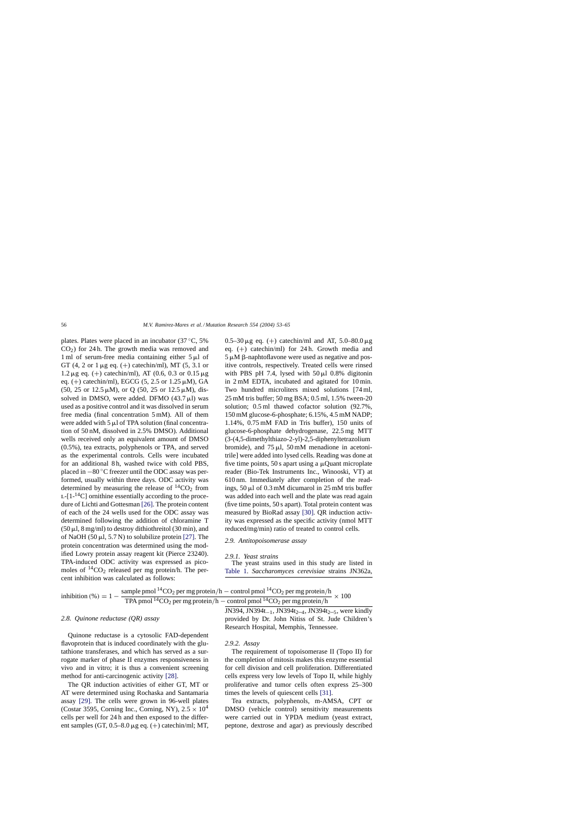plates. Plates were placed in an incubator (37 ◦C, 5%  $CO<sub>2</sub>$ ) for 24 h. The growth media was removed and 1 ml of serum-free media containing either  $5 \mu l$  of GT (4, 2 or 1  $\mu$ g eq. (+) catechin/ml), MT (5, 3.1 or  $1.2 \,\mu$ g eq. (+) catechin/ml), AT (0.6, 0.3 or 0.15  $\mu$ g eq. (+) catechin/ml), EGCG (5, 2.5 or 1.25  $\mu$ M), GA  $(50, 25 \text{ or } 12.5 \mu M)$ , or Q  $(50, 25 \text{ or } 12.5 \mu M)$ , dissolved in DMSO, were added. DFMO  $(43.7 \mu)$  was used as a positive control and it was dissolved in serum free media (final concentration 5 mM). All of them were added with  $5 \mu l$  of TPA solution (final concentration of 50 nM, dissolved in 2.5% DMSO). Additional wells received only an equivalent amount of DMSO (0.5%), tea extracts, polyphenols or TPA, and served as the experimental controls. Cells were incubated for an additional 8h, washed twice with cold PBS, placed in −80 ◦C freezer until the ODC assay was performed, usually within three days. ODC activity was determined by measuring the release of  ${}^{14}CO_2$  from  $L-[1-14C]$  ornithine essentially according to the procedure of Lichti and Gottesman [\[26\]. T](#page-11-0)he protein content of each of the 24 wells used for the ODC assay was determined following the addition of chloramine T  $(50 \,\mu$ l, 8 mg/ml) to destroy dithiothreitol (30 min), and of NaOH (50  $\mu$ 1, 5.7 N) to solubilize protein [\[27\]. T](#page-11-0)he protein concentration was determined using the modified Lowry protein assay reagent kit (Pierce 23240). TPA-induced ODC activity was expressed as picomoles of  ${}^{14}CO_2$  released per mg protein/h. The percent inhibition was calculated as follows:

0.5–30  $\mu$ g eq. (+) catechin/ml and AT, 5.0–80.0  $\mu$ g eq. (+) catechin/ml) for 24 h. Growth media and  $5 \mu M$   $\beta$ -naphtoflavone were used as negative and positive controls, respectively. Treated cells were rinsed with PBS pH 7.4, lysed with  $50 \mu l$  0.8% digitonin in 2 mM EDTA, incubated and agitated for 10 min. Two hundred microliters mixed solutions [74 ml, 25 mM tris buffer; 50 mg BSA; 0.5 ml, 1.5% tween-20 solution; 0.5 ml thawed cofactor solution (92.7%, 150 mM glucose-6-phosphate; 6.15%, 4.5 mM NADP; 1.14%, 0.75 mM FAD in Tris buffer), 150 units of glucose-6-phosphate dehydrogenase, 22.5 mg MTT (3-(4,5-dimethylthiazo-2-yl)-2,5-diphenyltetrazolium bromide), and  $75 \mu$ ,  $50 \text{ mM}$  menadione in acetonitrile] were added into lysed cells. Reading was done at five time points,  $50 s$  apart using a  $\mu$ Quant microplate reader (Bio-Tek Instruments Inc., Winooski, VT) at 610 nm. Immediately after completion of the readings,  $50 \mu l$  of 0.3 mM dicumarol in 25 mM tris buffer was added into each well and the plate was read again (five time points, 50 s apart). Total protein content was measured by BioRad assay [\[30\].](#page-11-0) QR induction activity was expressed as the specific activity (nmol MTT reduced/mg/min) ratio of treated to control cells.

## *2.9. Antitopoisomerase assay*

#### *2.9.1. Yeast strains*

The yeast strains used in this study are listed in [Table 1.](#page-4-0) *Saccharomyces cerevisiae* strains JN362a,

| inhibition $(\%) = 1 -$ | sample pmol <sup>14</sup> CO <sub>2</sub> per mg protein/h – control pmol <sup>14</sup> CO <sub>2</sub> per mg protein/h |  |
|-------------------------|--------------------------------------------------------------------------------------------------------------------------|--|
|                         | TPA pmol <sup>14</sup> CO <sub>2</sub> per mg protein/h – control pmol <sup>14</sup> CO <sub>2</sub> per mg protein/h    |  |

## *2.8. Quinone reductase (QR) assay*

Quinone reductase is a cytosolic FAD-dependent flavoprotein that is induced coordinately with the glutathione transferases, and which has served as a surrogate marker of phase II enzymes responsiveness in vivo and in vitro; it is thus a convenient screening method for anti-carcinogenic activity [\[28\].](#page-11-0)

The QR induction activities of either GT, MT or AT were determined using Rochaska and Santamaria assay [\[29\].](#page-11-0) The cells were grown in 96-well plates (Costar 3595, Corning Inc., Corning, NY),  $2.5 \times 10^4$ cells per well for 24 h and then exposed to the different samples (GT,  $0.5-8.0 \mu$ g eq. (+) catechin/ml; MT, JN394, JN394t<sub>-1</sub>, JN394t<sub>2–4</sub>, JN394t<sub>2–5</sub>, were kindly provided by Dr. John Nitiss of St. Jude Children's Research Hospital, Memphis, Tennessee.

## *2.9.2. Assay*

The requirement of topoisomerase II (Topo II) for the completion of mitosis makes this enzyme essential for cell division and cell proliferation. Differentiated cells express very low levels of Topo II, while highly proliferative and tumor cells often express 25–300 times the levels of quiescent cells [\[31\].](#page-11-0)

Tea extracts, polyphenols, m-AMSA, CPT or DMSO (vehicle control) sensitivity measurements were carried out in YPDA medium (yeast extract, peptone, dextrose and agar) as previously described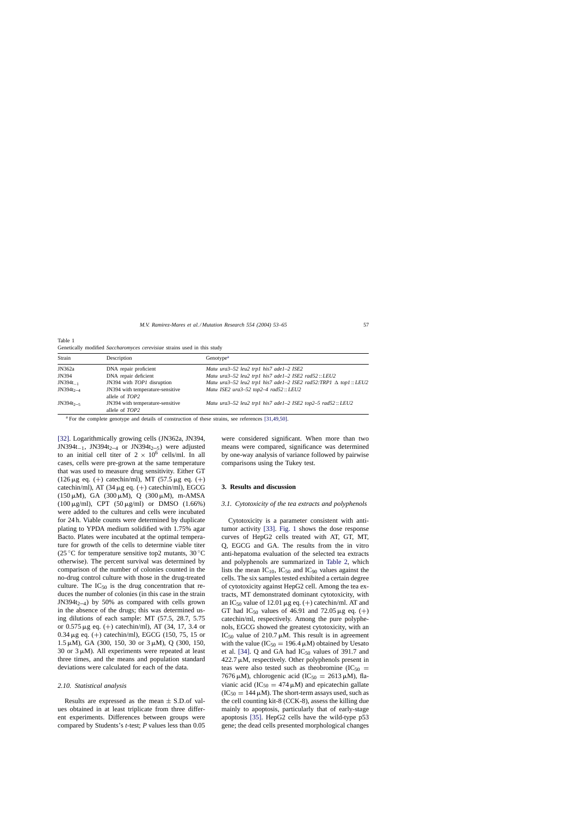| Strain         | Description                                        | Genotype <sup>a</sup>                                                        |
|----------------|----------------------------------------------------|------------------------------------------------------------------------------|
| JN362a         | DNA repair proficient                              | Mat $\alpha$ ura $3-52$ leu $2$ trp1 his7 ade1-2 ISE2                        |
| JN394          | DNA repair deficient                               | Mato ura3-52 leu2 trp1 his7 ade1-2 ISE2 rad52:: LEU2                         |
| $JN394t_{-1}$  | JN394 with TOP1 disruption                         | Mator ura3-52 leu2 trp1 his7 ade1-2 ISE2 rad52:TRP1 $\triangle$ top1 :: LEU2 |
| $JN394t_{2-4}$ | JN394 with temperature-sensitive<br>allele of TOP2 | Mat $\alpha$ ISE2 ura3-52 top2-4 rad52:: LEU2                                |
| $JN394t_{2-5}$ | JN394 with temperature-sensitive<br>allele of TOP2 | Mator ura $3-52$ leu $2$ trp1 his7 ade1-2 ISE2 top2-5 rad52:: LEU2           |

<span id="page-4-0"></span>Table 1 Genetically modified *Saccharomyces cerevisiae* strains used in this study

<sup>a</sup> For the complete genotype and details of construction of these strains, see references [\[31,49,50\].](#page-11-0)

[\[32\].](#page-11-0) Logarithmically growing cells (JN362a, JN394, JN394t<sub>-1</sub>, JN394t<sub>2-4</sub> or JN394t<sub>2-5</sub>) were adjusted to an initial cell titer of  $2 \times 10^6$  cells/ml. In all cases, cells were pre-grown at the same temperature that was used to measure drug sensitivity. Either GT (126  $\mu$ g eq. (+) catechin/ml), MT (57.5  $\mu$ g eq. (+) catechin/ml), AT (34  $\mu$ g eq. (+) catechin/ml), EGCG (150  $\mu$ M), GA (300  $\mu$ M), Q (300  $\mu$ M), m-AMSA (100  $\mu$ g/ml), CPT (50  $\mu$ g/ml) or DMSO (1.66%) were added to the cultures and cells were incubated for 24 h. Viable counts were determined by duplicate plating to YPDA medium solidified with 1.75% agar Bacto. Plates were incubated at the optimal temperature for growth of the cells to determine viable titer (25 °C for temperature sensitive top2 mutants,  $30^{\circ}$ C otherwise). The percent survival was determined by comparison of the number of colonies counted in the no-drug control culture with those in the drug-treated culture. The  $IC_{50}$  is the drug concentration that reduces the number of colonies (in this case in the strain JN394 $t_{2-4}$ ) by 50% as compared with cells grown in the absence of the drugs; this was determined using dilutions of each sample: MT (57.5, 28.7, 5.75 or  $0.575 \,\mu$ g eq. (+) catechin/ml), AT (34, 17, 3.4 or  $0.34 \mu$ g eq. (+) catechin/ml), EGCG (150, 75, 15 or 1.5  $\mu$ M), GA (300, 150, 30 or 3  $\mu$ M), Q (300, 150, 30 or 3 $\mu$ M). All experiments were repeated at least three times, and the means and population standard deviations were calculated for each of the data.

#### *2.10. Statistical analysis*

Results are expressed as the mean  $\pm$  S.D.of values obtained in at least triplicate from three different experiments. Differences between groups were compared by Students's *t*-test; *P* values less than 0.05 were considered significant. When more than two means were compared, significance was determined by one-way analysis of variance followed by pairwise comparisons using the Tukey test.

## **3. Results and discussion**

## *3.1. Cytotoxicity of the tea extracts and polyphenols*

Cytotoxicity is a parameter consistent with antitumor activity [\[33\].](#page-11-0) [Fig. 1](#page-5-0) shows the dose response curves of HepG2 cells treated with AT, GT, MT, Q, EGCG and GA. The results from the in vitro anti-hepatoma evaluation of the selected tea extracts and polyphenols are summarized in [Table 2,](#page-5-0) which lists the mean  $IC_{10}$ ,  $IC_{50}$  and  $IC_{90}$  values against the cells. The six samples tested exhibited a certain degree of cytotoxicity against HepG2 cell. Among the tea extracts, MT demonstrated dominant cytotoxicity, with an IC<sub>50</sub> value of 12.01  $\mu$ g eq. (+) catechin/ml. AT and GT had IC<sub>50</sub> values of 46.91 and 72.05  $\mu$ g eq. (+) catechin/ml, respectively. Among the pure polyphenols, EGCG showed the greatest cytotoxicity, with an IC<sub>50</sub> value of 210.7  $\mu$ M. This result is in agreement with the value ( $IC_{50} = 196.4 \mu M$ ) obtained by Uesato et al. [\[34\].](#page-11-0) Q and GA had  $IC_{50}$  values of 391.7 and  $422.7 \mu M$ , respectively. Other polyphenols present in teas were also tested such as the obromine  $(IC_{50} =$ 7676  $\mu$ M), chlorogenic acid (IC<sub>50</sub> = 2613  $\mu$ M), flavianic acid (IC<sub>50</sub> = 474  $\mu$ M) and epicatechin gallate  $(IC_{50} = 144 \mu M)$ . The short-term assays used, such as the cell counting kit-8 (CCK-8), assess the killing due mainly to apoptosis, particularly that of early-stage apoptosis [\[35\].](#page-11-0) HepG2 cells have the wild-type p53 gene; the dead cells presented morphological changes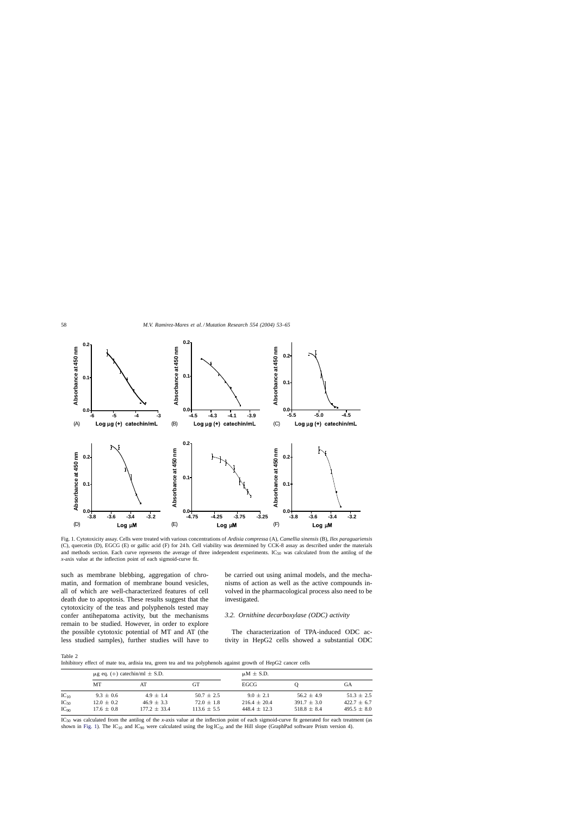<span id="page-5-0"></span>

Fig. 1. Cytotoxicity assay. Cells were treated with various concentrations of *Ardisia compressa* (A), *Camellia sinensis* (B), *Ilex paraguariensis* (C), quercetin (D), EGCG (E) or gallic acid (F) for 24 h. Cell viability was determined by CCK-8 assay as described under the materials and methods section. Each curve represents the average of three independent experiments. IC<sub>50</sub> was calculated from the antilog of the *x*-axis value at the inflection point of each sigmoid-curve fit.

such as membrane blebbing, aggregation of chromatin, and formation of membrane bound vesicles, all of which are well-characterized features of cell death due to apoptosis. These results suggest that the cytotoxicity of the teas and polyphenols tested may confer antihepatoma activity, but the mechanisms remain to be studied. However, in order to explore the possible cytotoxic potential of MT and AT (the less studied samples), further studies will have to be carried out using animal models, and the mechanisms of action as well as the active compounds involved in the pharmacological process also need to be investigated.

# *3.2. Ornithine decarboxylase (ODC) activity*

The characterization of TPA-induced ODC activity in HepG2 cells showed a substantial ODC

Table 2

|  | Inhibitory effect of mate tea, ardisia tea, green tea and tea polyphenols against growth of HepG2 cancer cells |  |  |  |  |  |  |
|--|----------------------------------------------------------------------------------------------------------------|--|--|--|--|--|--|
|  |                                                                                                                |  |  |  |  |  |  |

|           |                | $\mu$ g eq. (+) catechin/ml $\pm$ S.D. |                 | $\mu$ M $\pm$ S.D. |                 |                 |  |  |
|-----------|----------------|----------------------------------------|-----------------|--------------------|-----------------|-----------------|--|--|
|           | MТ             | AT                                     | GТ              | EGCG               |                 | GА              |  |  |
| $IC_{10}$ | $9.3 \pm 0.6$  | $4.9 \pm 1.4$                          | $50.7 \pm 2.5$  | $9.0 \pm 2.1$      | $56.2 + 4.9$    | $51.3 + 2.5$    |  |  |
| $IC_{50}$ | $12.0 \pm 0.2$ | $46.9 \pm 3.3$                         | $72.0 \pm 1.8$  | $216.4 \pm 20.4$   | $391.7 + 3.0$   | $422.7 + 6.7$   |  |  |
| $IC_{90}$ | $17.6 \pm 0.8$ | $177.2 \pm 33.4$                       | $113.6 \pm 5.5$ | $448.4 \pm 12.3$   | $518.8 \pm 8.4$ | $495.5 \pm 8.0$ |  |  |

IC50 was calculated from the antilog of the *x*-axis value at the inflection point of each sigmoid-curve fit generated for each treatment (as shown in Fig. 1). The IC<sub>10</sub> and IC<sub>90</sub> were calculated using the log IC<sub>50</sub> and the Hill slope (GraphPad software Prism version 4).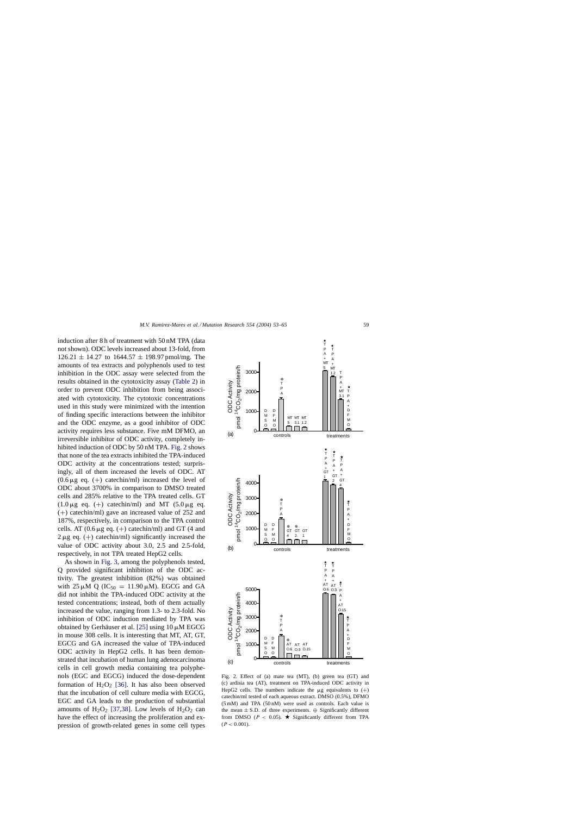induction after 8 h of treatment with 50 nM TPA (data not shown). ODC levels increased about 13-fold, from  $126.21 \pm 14.27$  to  $1644.57 \pm 198.97$  pmol/mg. The amounts of tea extracts and polyphenols used to test inhibition in the ODC assay were selected from the results obtained in the cytotoxicity assay [\(Table 2\)](#page-5-0) in order to prevent ODC inhibition from being associated with cytotoxicity. The cytotoxic concentrations used in this study were minimized with the intention of finding specific interactions between the inhibitor and the ODC enzyme, as a good inhibitor of ODC activity requires less substance. Five mM DFMO, an irreversible inhibitor of ODC activity, completely inhibited induction of ODC by 50 nM TPA. Fig. 2 shows that none of the tea extracts inhibited the TPA-induced ODC activity at the concentrations tested; surprisingly, all of them increased the levels of ODC. AT  $(0.6 \mu$ g eq.  $(+)$  catechin/ml) increased the level of ODC about 3700% in comparison to DMSO treated cells and 285% relative to the TPA treated cells. GT  $(1.0 \,\mu\text{g}$  eq. (+) catechin/ml) and MT  $(5.0 \,\mu\text{g}$  eq. (+) catechin/ml) gave an increased value of 252 and 187%, respectively, in comparison to the TPA control cells. AT  $(0.6 \mu g$  eq.  $(+)$  catechin/ml) and GT (4 and  $2 \mu$ g eq. (+) catechin/ml) significantly increased the value of ODC activity about 3.0, 2.5 and 2.5-fold, respectively, in not TPA treated HepG2 cells.

As shown in [Fig. 3,](#page-7-0) among the polyphenols tested, Q provided significant inhibition of the ODC activity. The greatest inhibition (82%) was obtained with 25  $\mu$ M Q (IC<sub>50</sub> = 11.90  $\mu$ M). EGCG and GA did not inhibit the TPA-induced ODC activity at the tested concentrations; instead, both of them actually increased the value, ranging from 1.3- to 2.3-fold. No inhibition of ODC induction mediated by TPA was obtained by Gerhäuser et al. [\[25\]](#page-11-0) using  $10 \mu$ M EGCG in mouse 308 cells. It is interesting that MT, AT, GT, EGCG and GA increased the value of TPA-induced ODC activity in HepG2 cells. It has been demonstrated that incubation of human lung adenocarcinoma cells in cell growth media containing tea polyphenols (EGC and EGCG) induced the dose-dependent formation of  $H_2O_2$  [\[36\].](#page-11-0) It has also been observed that the incubation of cell culture media with EGCG, EGC and GA leads to the production of substantial amounts of  $H_2O_2$  [\[37,38\].](#page-12-0) Low levels of  $H_2O_2$  can have the effect of increasing the proliferation and expression of growth-related genes in some cell types

Fig. 2. Effect of (a) mate tea (MT), (b) green tea (GT) and (c) ardisia tea (AT), treatment on TPA-induced ODC activity in HepG2 cells. The numbers indicate the  $\mu$ g equivalents to  $(+)$ catechin/ml tested of each aqueous extract. DMSO (0.5%), DFMO (5 mM) and TPA (50 nM) were used as controls. Each value is the mean  $\pm$  S.D. of three experiments.  $\oplus$  Significantly different from DMSO ( $P < 0.05$ ).  $\star$  Significantly different from TPA  $(P < 0.001)$ .

⊕<br>AT AT AT<br>O.6 O.3 O.1 O.15

controls treatments

0

D M S  $\rm{O}$ D F M  $\ddot{\circ}$ 

⊕<br>T<br>P A

1000

2000 3000 4000

ODC Activity pmol  $^{14}$ CO $_2$ /mg protein/h

<sup>14</sup>CO<sub>2</sub>/mg protein/h **ODC Activity** 

 $\overline{p}$ 

(c)

5000



3000

T P A + MT

T P A + MT 1.2

5

T

T P A<br>+<br>AT

O.15

T P A + D F M O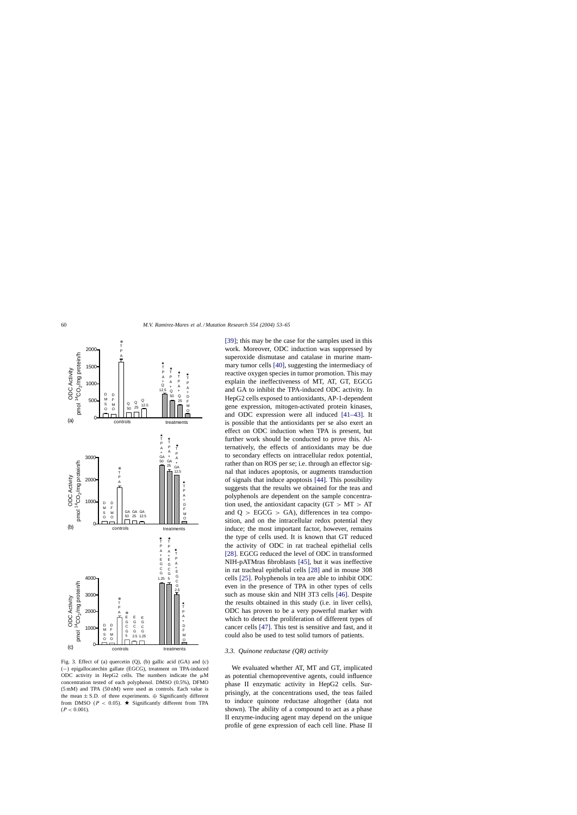<span id="page-7-0"></span>

Fig. 3. Effect of (a) quercetin (Q), (b) gallic acid (GA) and (c) (−) epigallocatechin gallate (EGCG), treatment on TPA-induced ODC activity in HepG2 cells. The numbers indicate the  $\mu$ M concentration tested of each polyphenol. DMSO (0.5%), DFMO (5 mM) and TPA (50 nM) were used as controls. Each value is the mean  $\pm$  S.D. of three experiments.  $\oplus$  Significantly different from DMSO ( $P < 0.05$ ).  $\star$  Significantly different from TPA  $(P < 0.001)$ .

[\[39\];](#page-12-0) this may be the case for the samples used in this work. Moreover, ODC induction was suppressed by superoxide dismutase and catalase in murine mammary tumor cells [\[40\],](#page-12-0) suggesting the intermediacy of reactive oxygen species in tumor promotion. This may explain the ineffectiveness of MT, AT, GT, EGCG and GA to inhibit the TPA-induced ODC activity. In HepG2 cells exposed to antioxidants, AP-1-dependent gene expression, mitogen-activated protein kinases, and ODC expression were all induced [\[41–43\].](#page-12-0) It is possible that the antioxidants per se also exert an effect on ODC induction when TPA is present, but further work should be conducted to prove this. Alternatively, the effects of antioxidants may be due to secondary effects on intracellular redox potential, rather than on ROS per se; i.e. through an effector signal that induces apoptosis, or augments transduction of signals that induce apoptosis [\[44\].](#page-12-0) This possibility suggests that the results we obtained for the teas and polyphenols are dependent on the sample concentration used, the antioxidant capacity ( $GT > MT > AT$ ) and  $Q > EGCG > GA$ ), differences in tea composition, and on the intracellular redox potential they induce; the most important factor, however, remains the type of cells used. It is known that GT reduced the activity of ODC in rat tracheal epithelial cells [\[28\].](#page-11-0) EGCG reduced the level of ODC in transformed NIH-pATMras fibroblasts [\[45\],](#page-12-0) but it was ineffective in rat tracheal epithelial cells [\[28\]](#page-11-0) and in mouse 308 cells [\[25\].](#page-11-0) Polyphenols in tea are able to inhibit ODC even in the presence of TPA in other types of cells such as mouse skin and NIH 3T3 cells [\[46\].](#page-12-0) Despite the results obtained in this study (i.e. in liver cells), ODC has proven to be a very powerful marker with which to detect the proliferation of different types of cancer cells [\[47\].](#page-12-0) This test is sensitive and fast, and it could also be used to test solid tumors of patients.

# *3.3. Quinone reductase (QR) activity*

We evaluated whether AT, MT and GT, implicated as potential chemopreventive agents, could influence phase II enzymatic activity in HepG2 cells. Surprisingly, at the concentrations used, the teas failed to induce quinone reductase altogether (data not shown). The ability of a compound to act as a phase II enzyme-inducing agent may depend on the unique profile of gene expression of each cell line. Phase II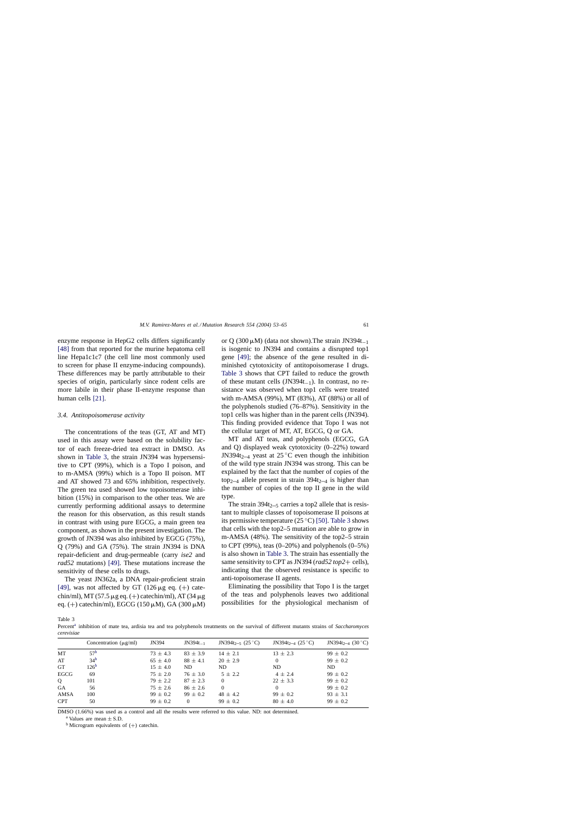<span id="page-8-0"></span>enzyme response in HepG2 cells differs significantly [\[48\]](#page-12-0) from that reported for the murine hepatoma cell line Hepa1c1c7 (the cell line most commonly used to screen for phase II enzyme-inducing compounds). These differences may be partly attributable to their species of origin, particularly since rodent cells are more labile in their phase II-enzyme response than human cells [\[21\].](#page-11-0)

## *3.4. Antitopoisomerase activity*

The concentrations of the teas (GT, AT and MT) used in this assay were based on the solubility factor of each freeze-dried tea extract in DMSO. As shown in Table 3, the strain JN394 was hypersensitive to CPT (99%), which is a Topo I poison, and to m-AMSA (99%) which is a Topo II poison. MT and AT showed 73 and 65% inhibition, respectively. The green tea used showed low topoisomerase inhibition (15%) in comparison to the other teas. We are currently performing additional assays to determine the reason for this observation, as this result stands in contrast with using pure EGCG, a main green tea component, as shown in the present investigation. The growth of JN394 was also inhibited by EGCG (75%), Q (79%) and GA (75%). The strain JN394 is DNA repair-deficient and drug-permeable (carry *ise2* and *rad52* mutations) [\[49\].](#page-12-0) These mutations increase the sensitivity of these cells to drugs.

The yeast JN362a, a DNA repair-proficient strain [\[49\],](#page-12-0) was not affected by GT (126  $\mu$ g eq. (+) catechin/ml), MT (57.5  $\mu$ g eq. (+) catechin/ml), AT (34  $\mu$ g eq. (+) catechin/ml), EGCG (150  $\mu$ M), GA (300  $\mu$ M) or Q (300  $\mu$ M) (data not shown). The strain JN394t<sub>-1</sub> is isogenic to JN394 and contains a disrupted top1 gene [\[49\];](#page-12-0) the absence of the gene resulted in diminished cytotoxicity of antitopoisomerase I drugs. Table 3 shows that CPT failed to reduce the growth of these mutant cells (JN394t−1). In contrast, no resistance was observed when top1 cells were treated with m-AMSA (99%), MT (83%), AT (88%) or all of the polyphenols studied (76–87%). Sensitivity in the top1 cells was higher than in the parent cells (JN394). This finding provided evidence that Topo I was not the cellular target of MT, AT, EGCG, Q or GA.

MT and AT teas, and polyphenols (EGCG, GA and Q) displayed weak cytotoxicity (0–22%) toward JN394 $t_{2-4}$  yeast at 25 °C even though the inhibition of the wild type strain JN394 was strong. This can be explained by the fact that the number of copies of the top<sub>2–4</sub> allele present in strain  $394t_{2-4}$  is higher than the number of copies of the top II gene in the wild type.

The strain  $394t_{2,-5}$  carries a top2 allele that is resistant to multiple classes of topoisomerase II poisons at its permissive temperature (25 $\degree$ C) [\[50\].](#page-12-0) Table 3 shows that cells with the top2–5 mutation are able to grow in m-AMSA (48%). The sensitivity of the top2–5 strain to CPT (99%), teas  $(0-20\%)$  and polyphenols  $(0-5\%)$ is also shown in Table 3. The strain has essentially the same sensitivity to CPT as JN394 (*rad52 top2*+ cells), indicating that the observed resistance is specific to anti-topoisomerase II agents.

Eliminating the possibility that Topo I is the target of the teas and polyphenols leaves two additional possibilities for the physiological mechanism of

Table 3

Percent<sup>a</sup> inhibition of mate tea, ardisia tea and tea polyphenols treatments on the survival of different mutants strains of *Saccharomyces cerevisiae*

|            | Concentration $(\mu g/ml)$ | JN394        | $JN394t_{-1}$ | JN394t <sub>2-5</sub> (25 °C) | JN394t <sub>2-4</sub> (25 °C) | JN394t <sub>2-4</sub> (30 °C) |
|------------|----------------------------|--------------|---------------|-------------------------------|-------------------------------|-------------------------------|
| MT         | 57 <sup>b</sup>            | $73 \pm 4.3$ | $83 \pm 3.9$  | $14 \pm 2.1$                  | $13 \pm 2.3$                  | $99 \pm 0.2$                  |
| AT         | 34 <sup>b</sup>            | $65 \pm 4.0$ | $88 \pm 4.1$  | $20 \pm 2.9$                  | $\Omega$                      | $99 \pm 0.2$                  |
| <b>GT</b>  | 126 <sup>b</sup>           | $15 \pm 4.0$ | ND.           | ND                            | ND.                           | ND.                           |
| EGCG       | 69                         | $75 \pm 2.0$ | $76 \pm 3.0$  | $5 \pm 2.2$                   | $4 \pm 2.4$                   | $99 \pm 0.2$                  |
| Q          | 101                        | $79 \pm 2.2$ | $87 \pm 2.3$  | $\Omega$                      | $22 \pm 3.3$                  | $99 \pm 0.2$                  |
| <b>GA</b>  | 56                         | $75 \pm 2.6$ | $86 \pm 2.6$  | $\Omega$                      | $\Omega$                      | $99 \pm 0.2$                  |
| AMSA       | 100                        | $99 \pm 0.2$ | $99 \pm 0.2$  | $48 \pm 4.2$                  | $99 \pm 0.2$                  | $93 \pm 3.1$                  |
| <b>CPT</b> | 50                         | $99 \pm 0.2$ | $\Omega$      | $99 \pm 0.2$                  | $80 \pm 4.0$                  | $99 \pm 0.2$                  |
|            |                            |              |               |                               |                               |                               |

DMSO (1.66%) was used as a control and all the results were referred to this value. ND: not determined.

<sup>a</sup> Values are mean  $\pm$  S.D.<br><sup>b</sup> Microgram equivalents of (+) catechin.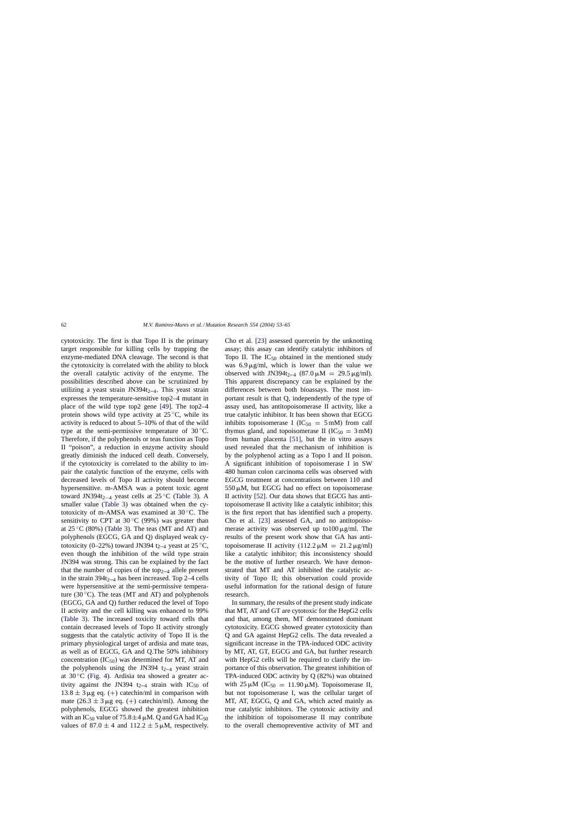cytotoxicity. The first is that Topo II is the primary target responsible for killing cells by trapping the enzyme-mediated DNA cleavage. The second is that the cytotoxicity is correlated with the ability to block the overall catalytic activity of the enzyme. The possibilities described above can be scrutinized by utilizing a yeast strain JN394 $t_{2-4}$ . This yeast strain expresses the temperature-sensitive top2–4 mutant in place of the wild type top2 gene [\[49\].](#page-12-0) The top2–4 protein shows wild type activity at  $25^{\circ}$ C, while its activity is reduced to about 5–10% of that of the wild type at the semi-permissive temperature of  $30^{\circ}$ C. Therefore, if the polyphenols or teas function as Topo II "poison", a reduction in enzyme activity should greatly diminish the induced cell death. Conversely, if the cytotoxicity is correlated to the ability to impair the catalytic function of the enzyme, cells with decreased levels of Topo II activity should become hypersensitive. m-AMSA was a potent toxic agent toward JN394t<sub>2−4</sub> yeast cells at 25 °C [\(Table 3\).](#page-8-0) A smaller value ([Table 3\)](#page-8-0) was obtained when the cytotoxicity of m-AMSA was examined at 30 ◦C. The sensitivity to CPT at  $30^{\circ}$ C (99%) was greater than at  $25^{\circ}$ C (80%) ([Table 3\).](#page-8-0) The teas (MT and AT) and polyphenols (EGCG, GA and Q) displayed weak cytotoxicity (0–22%) toward JN394 t<sub>2–4</sub> yeast at 25 °C, even though the inhibition of the wild type strain JN394 was strong. This can be explained by the fact that the number of copies of the top<sub>2–4</sub> allele present in the strain  $394t_{2-4}$  has been increased. Top 2–4 cells were hypersensitive at the semi-permissive temperature (30 $\degree$ C). The teas (MT and AT) and polyphenols (EGCG, GA and Q) further reduced the level of Topo II activity and the cell killing was enhanced to 99% ([Table 3\)](#page-8-0). The increased toxicity toward cells that contain decreased levels of Topo II activity strongly suggests that the catalytic activity of Topo II is the primary physiological target of ardisia and mate teas, as well as of EGCG, GA and Q.The 50% inhibitory concentration  $(IC_{50})$  was determined for MT, AT and the polyphenols using the JN394  $t_{2-4}$  yeast strain at  $30^{\circ}$ C [\(Fig. 4\).](#page-10-0) Ardisia tea showed a greater activity against the JN394  $t_{2-4}$  strain with IC<sub>50</sub> of  $13.8 \pm 3 \mu$ g eq. (+) catechin/ml in comparison with mate  $(26.3 \pm 3 \mu$ g eq. (+) catechin/ml). Among the polyphenols, EGCG showed the greatest inhibition with an IC<sub>50</sub> value of 75.8 $\pm$ 4  $\mu$ M. Q and GA had IC<sub>50</sub> values of  $87.0 \pm 4$  and  $112.2 \pm 5 \mu$ M, respectively. Cho et al. [\[23\]](#page-11-0) assessed quercetin by the unknotting assay; this assay can identify catalytic inhibitors of Topo II. The  $IC_{50}$  obtained in the mentioned study was  $6.9 \mu g/ml$ , which is lower than the value we observed with JN394t<sub>2–4</sub> (87.0  $\mu$ M = 29.5  $\mu$ g/ml). This apparent discrepancy can be explained by the differences between both bioassays. The most important result is that Q, independently of the type of assay used, has antitopoisomerase II activity, like a true catalytic inhibitor. It has been shown that EGCG inhibits topoisomerase I (IC<sub>50</sub> = 5 mM) from calf thymus gland, and topoisomerase II  $(IC_{50} = 3 \text{ mM})$ from human placenta [\[51\],](#page-12-0) but the in vitro assays used revealed that the mechanism of inhibition is by the polyphenol acting as a Topo I and II poison. A significant inhibition of topoisomerase I in SW 480 human colon carcinoma cells was observed with EGCG treatment at concentrations between 110 and  $550 \mu M$ , but EGCG had no effect on topoisomerase II activity [\[52\].](#page-12-0) Our data shows that EGCG has antitopoisomerase II activity like a catalytic inhibitor; this is the first report that has identified such a property. Cho et al. [\[23\]](#page-11-0) assessed GA, and no antitopoisomerase activity was observed up to  $100 \mu g/ml$ . The results of the present work show that GA has antitopoisomerase II activity  $(112.2 \text{ m}) = 21.2 \text{ m/s}$ like a catalytic inhibitor; this inconsistency should be the motive of further research. We have demonstrated that MT and AT inhibited the catalytic activity of Topo II; this observation could provide useful information for the rational design of future research.

In summary, the results of the present study indicate that MT, AT and GT are cytotoxic for the HepG2 cells and that, among them, MT demonstrated dominant cytotoxicity. EGCG showed greater cytotoxicity than Q and GA against HepG2 cells. The data revealed a significant increase in the TPA-induced ODC activity by MT, AT, GT, EGCG and GA, but further research with HepG2 cells will be required to clarify the importance of this observation. The greatest inhibition of TPA-induced ODC activity by Q (82%) was obtained with 25  $\mu$ M (IC<sub>50</sub> = 11.90  $\mu$ M). Topoisomerase II, but not topoisomerase I, was the cellular target of MT, AT, EGCG, Q and GA, which acted mainly as true catalytic inhibitors. The cytotoxic activity and the inhibition of topoisomerase II may contribute to the overall chemopreventive activity of MT and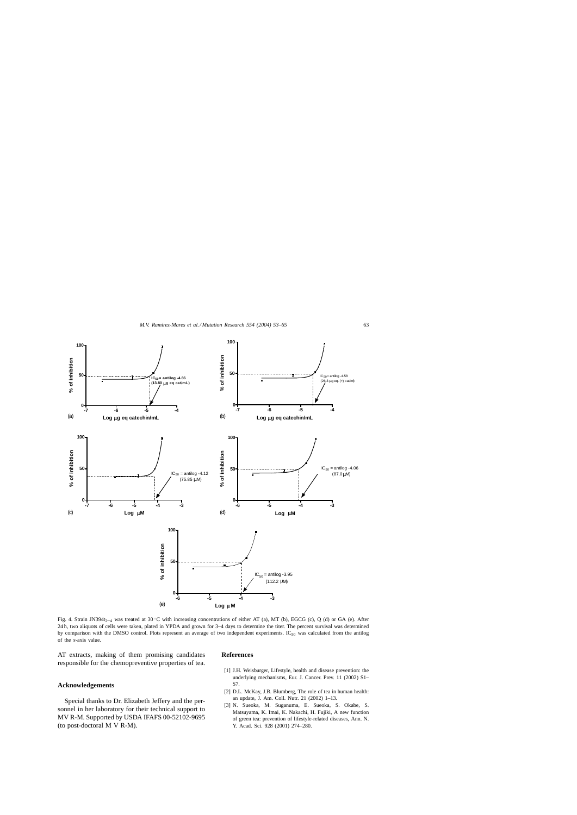<span id="page-10-0"></span>

Fig. 4. Strain JN394t<sub>2</sub>-4 was treated at 30 °C with increasing concentrations of either AT (a), MT (b), EGCG (c), Q (d) or GA (e). After 24 h, two aliquots of cells were taken, plated in YPDA and grown for 3–4 days to determine the titer. The percent survival was determined by comparison with the DMSO control. Plots represent an average of two independent experiments. IC<sub>50</sub> was calculated from the antilog of the *x*-axis value.

AT extracts, making of them promising candidates responsible for the chemopreventive properties of tea.

# **Acknowledgements**

Special thanks to Dr. Elizabeth Jeffery and the personnel in her laboratory for their technical support to MV R-M. Supported by USDA IFAFS 00-52102-9695 (to post-doctoral M V R-M).

## **References**

- [1] J.H. Weisburger, Lifestyle, health and disease prevention: the underlying mechanisms, Eur. J. Cancer. Prev. 11 (2002) S1– S7.
- [2] D.L. McKay, J.B. Blumberg, The role of tea in human health: an update, J. Am. Coll. Nutr. 21 (2002) 1–13.
- [3] N. Sueoka, M. Suganuma, E. Sueoka, S. Okabe, S. Matsuyama, K. Imai, K. Nakachi, H. Fujiki, A new function of green tea: prevention of lifestyle-related diseases, Ann. N. Y. Acad. Sci. 928 (2001) 274–280.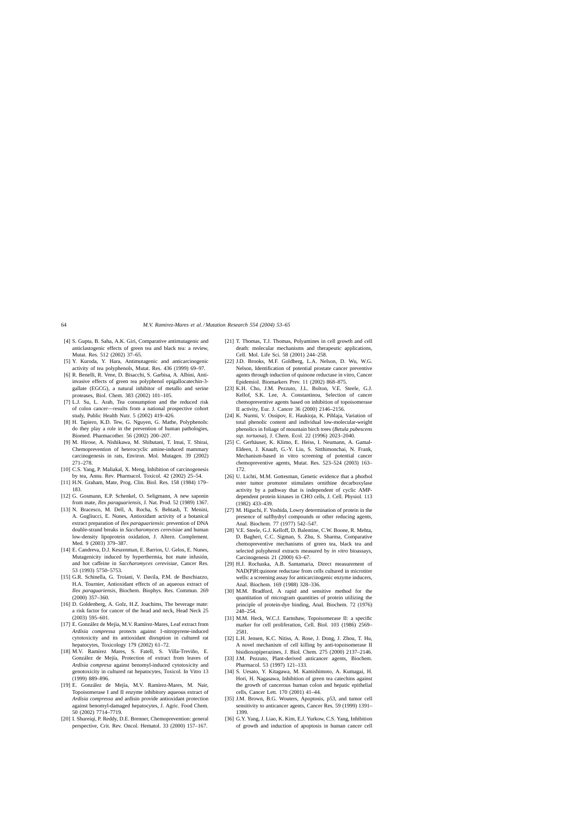- <span id="page-11-0"></span>[4] S. Gupta, B. Saha, A.K. Giri, Comparative antimutagenic and anticlastogenic effects of green tea and black tea: a review, Mutat. Res. 512 (2002) 37–65.
- [5] Y. Kuroda, Y. Hara, Antimutagenic and anticarcinogenic activity of tea polyphenols, Mutat. Res. 436 (1999) 69–97.
- [6] R. Benelli, R. Vene, D. Bisacchi, S. Garbisa, A. Albini, Antiinvasive effects of green tea polyphenol epigallocatechin-3 gallate (EGCG), a natural inhibitor of metallo and serine proteases, Biol. Chem. 383 (2002) 101–105.
- [7] L.J. Su, L. Arab, Tea consumption and the reduced risk of colon cancer—results from a national prospective cohort study, Public Health Nutr. 5 (2002) 419–426.
- [8] H. Tapiero, K.D. Tew, G. Nguyen, G. Mathe, Polyphenols: do they play a role in the prevention of human pathologies, Biomed. Pharmacother. 56 (2002) 200–207.
- [9] M. Hirose, A. Nishikawa, M. Shibutani, T. Imai, T. Shirai, Chemoprevention of heterocyclic amine-induced mammary carcinogenesis in rats, Environ. Mol. Mutagen. 39 (2002) 271–278.
- [10] C.S. Yang, P. Maliakal, X. Meng, Inhibition of carcinogenesis by tea, Annu. Rev. Pharmacol. Toxicol. 42 (2002) 25–54.
- [11] H.N. Graham, Mate, Prog. Clin. Biol. Res. 158 (1984) 179– 183.
- [12] G. Gosmann, E.P. Schenkel, O. Seligmann, A new saponin from mate, *Ilex paraguariensis*, J. Nat. Prod. 52 (1989) 1367.
- [13] N. Bracesco, M. Dell, A. Rocha, S. Behtash, T. Menini, A. Gugliucci, E. Nunes, Antioxidant activity of a botanical extract preparation of *Ilex paraguariensis*: prevention of DNA double-strand breaks in *Saccharomyces cerevisiae* and human low-density lipoprotein oxidation, J. Altern. Complement. Med. 9 (2003) 379–387.
- [14] E. Candreva, D.J. Keszenman, E. Barrios, U. Gelos, E. Nunes, Mutagenicity induced by hyperthermia, hot mate infusión, and hot caffeine in *Saccharomyces cerevisiae*, Cancer Res. 53 (1993) 5750–5753.
- [15] G.R. Schinella, G. Troiani, V. Davila, P.M. de Buschiazzo, H.A. Tournier, Antioxidant effects of an aqueous extract of *Ilex paraguariensis*, Biochem. Biophys. Res. Commun. 269 (2000) 357–360.
- [16] D. Goldenberg, A. Golz, H.Z. Joachims, The beverage mate: a risk factor for cancer of the head and neck, Head Neck 25 (2003) 595–601.
- [17] E. González de Mejía, M.V. Ramírez-Mares, Leaf extract from *Ardisia compressa* protects against 1-nitropyrene-induced cytotoxicity and its antioxidant disruption in cultured rat hepatocytes, Toxicology 179 (2002) 61–72.
- [18] M.V. Ramírez Mares, S. Fatell, S. Villa-Treviño, E. González de Mejía, Protection of extract from leaves of *Ardisia compresa* against benomyl-induced cytotoxicity and genotoxicity in cultured rat hepatocytes, Toxicol. In Vitro 13 (1999) 889–896.
- [19] E. González de Mejía, M.V. Ramírez-Mares, M. Nair, Topoisomerase I and II enzyme inhibitory aqueous extract of *Ardisia compressa* and ardisin provide antioxidant protection against benomyl-damaged hepatocytes, J. Agric. Food Chem. 50 (2002) 7714–7719.
- [20] I. Shureiqi, P. Reddy, D.E. Brenner, Chemoprevention: general perspective, Crit. Rev. Oncol. Hematol. 33 (2000) 157–167.
- [21] T. Thomas, T.J. Thomas, Polyamines in cell growth and cell death: molecular mechanisms and therapeutic applications, Cell. Mol. Life Sci. 58 (2001) 244–258.
- [22] J.D. Brooks, M.F. Goldberg, L.A. Nelson, D. Wu, W.G. Nelson, Identification of potential prostate cancer preventive agents through induction of quinone reductase in vitro, Cancer Epidemiol. Biomarkers Prev. 11 (2002) 868–875.
- [23] K.H. Cho, J.M. Pezzuto, J.L. Bolton, V.E. Steele, G.J. Kellof, S.K. Lee, A. Constantinou, Selection of cancer chemopreventive agents based on inhibition of topoisomerase II activity, Eur. J. Cancer 36 (2000) 2146–2156.
- [24] K. Nurmi, V. Ossipov, E. Haukioja, K. Pihlaja, Variation of total phenolic content and individual low-molecular-weight phenolics in foliage of mountain birch trees (*Betula pubescens ssp. tortuosa*), J. Chem. Ecol. 22 (1996) 2023–2040.
- [25] C. Gerhäuser, K. Klimo, E. Heiss, I. Neumann, A. Gamal-Eldeen, J. Knauft, G.-Y. Liu, S. Sitthimonchai, N. Frank, Mechanism-based in vitro screening of potential cancer chemopreventive agents, Mutat. Res. 523–524 (2003) 163– 172.
- [26] U. Lichti, M.M. Gottesman, Genetic evidence that a phorbol ester tumor promoter stimulates ornithine decarboxylase activity by a pathway that is independent of cyclic AMPdependent protein kinases in CHO cells, J. Cell. Physiol. 113 (1982) 433–439.
- [27] M. Higuchi, F. Yoshida, Lowry determination of protein in the presence of sulfhydryl compounds or other reducing agents, Anal. Biochem. 77 (1977) 542–547.
- [28] V.E. Steele, G.J. Kelloff, D. Balentine, C.W. Boone, R. Mehta, D. Bagheri, C.C. Sigman, S. Zhu, S. Sharma, Comparative chemopreventive mechanisms of green tea, black tea and selected polyphenol extracts measured by *in vitro* bioassays, Carcinogenesis 21 (2000) 63–67.
- [29] H.J. Rochaska, A.B. Santamaria, Direct measurement of NAD(P)H:quinone reductase from cells cultured in microtiter wells: a screening assay for anticarcinogenic enzyme inducers, Anal. Biochem. 169 (1988) 328–336.
- [30] M.M. Bradford, A rapid and sensitive method for the quantitation of microgram quantities of protein utilizing the principle of protein-dye binding, Anal. Biochem. 72 (1976) 248–254.
- [31] M.M. Heck, W.C.J. Earnshaw, Topoisomerase II: a specific marker for cell proliferation, Cell. Biol. 103 (1986) 2569– 2581.
- [32] L.H. Jensen, K.C. Nitiss, A. Rose, J. Dong, J. Zhou, T. Hu, A novel mechanism of cell killing by anti-topoisomerase II bisidioxopiperazines, J. Biol. Chem. 275 (2000) 2137–2146.
- [33] J.M. Pezzuto, Plant-derived anticancer agents, Biochem. Pharmacol. 53 (1997) 121–133.
- [34] S. Uesato, Y. Kitagawa, M. Kamishimoto, A. Kumagai, H. Hori, H. Nagasawa, Inhibition of green tea catechins against the growth of cancerous human colon and hepatic epithelial cells, Cancer Lett. 170 (2001) 41–44.
- [35] J.M. Brown, B.G. Wouters, Apoptosis, p53, and tumor cell sensitivity to anticancer agents, Cancer Res. 59 (1999) 1391– 1399.
- [36] G.Y. Yang, J. Liao, K. Kim, E.J. Yurkow, C.S. Yang, Inhibition of growth and induction of apoptosis in human cancer cell